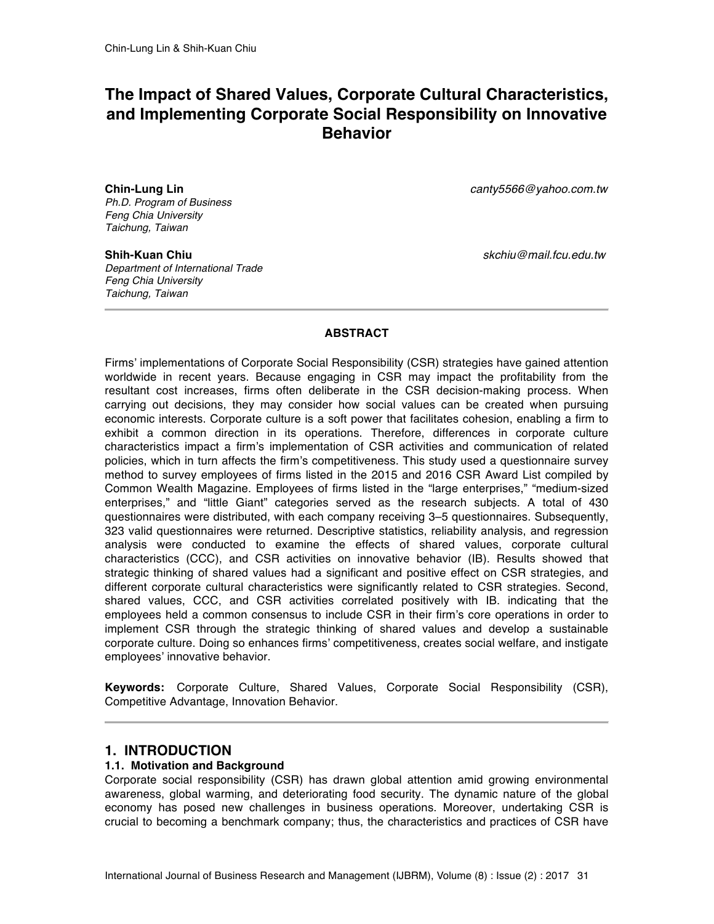# **The Impact of Shared Values, Corporate Cultural Characteristics, and Implementing Corporate Social Responsibility on Innovative Behavior**

*Ph.D. Program of Business Feng Chia University Taichung, Taiwan*

*Department of International Trade Feng Chia University Taichung, Taiwan*

**Chin-Lung Lin** *canty5566@yahoo.com.tw*

**Shih-Kuan Chiu** *skchiu@mail.fcu.edu.tw*

#### **ABSTRACT**

Firms' implementations of Corporate Social Responsibility (CSR) strategies have gained attention worldwide in recent years. Because engaging in CSR may impact the profitability from the resultant cost increases, firms often deliberate in the CSR decision-making process. When carrying out decisions, they may consider how social values can be created when pursuing economic interests. Corporate culture is a soft power that facilitates cohesion, enabling a firm to exhibit a common direction in its operations. Therefore, differences in corporate culture characteristics impact a firm's implementation of CSR activities and communication of related policies, which in turn affects the firm's competitiveness. This study used a questionnaire survey method to survey employees of firms listed in the 2015 and 2016 CSR Award List compiled by Common Wealth Magazine. Employees of firms listed in the "large enterprises," "medium-sized enterprises," and "little Giant" categories served as the research subjects. A total of 430 questionnaires were distributed, with each company receiving 3–5 questionnaires. Subsequently, 323 valid questionnaires were returned. Descriptive statistics, reliability analysis, and regression analysis were conducted to examine the effects of shared values, corporate cultural characteristics (CCC), and CSR activities on innovative behavior (IB). Results showed that strategic thinking of shared values had a significant and positive effect on CSR strategies, and different corporate cultural characteristics were significantly related to CSR strategies. Second, shared values, CCC, and CSR activities correlated positively with IB. indicating that the employees held a common consensus to include CSR in their firm's core operations in order to implement CSR through the strategic thinking of shared values and develop a sustainable corporate culture. Doing so enhances firms' competitiveness, creates social welfare, and instigate employees' innovative behavior.

**Keywords:** Corporate Culture, Shared Values, Corporate Social Responsibility (CSR), Competitive Advantage, Innovation Behavior.

# **1. INTRODUCTION**

#### **1.1. Motivation and Background**

Corporate social responsibility (CSR) has drawn global attention amid growing environmental awareness, global warming, and deteriorating food security. The dynamic nature of the global economy has posed new challenges in business operations. Moreover, undertaking CSR is crucial to becoming a benchmark company; thus, the characteristics and practices of CSR have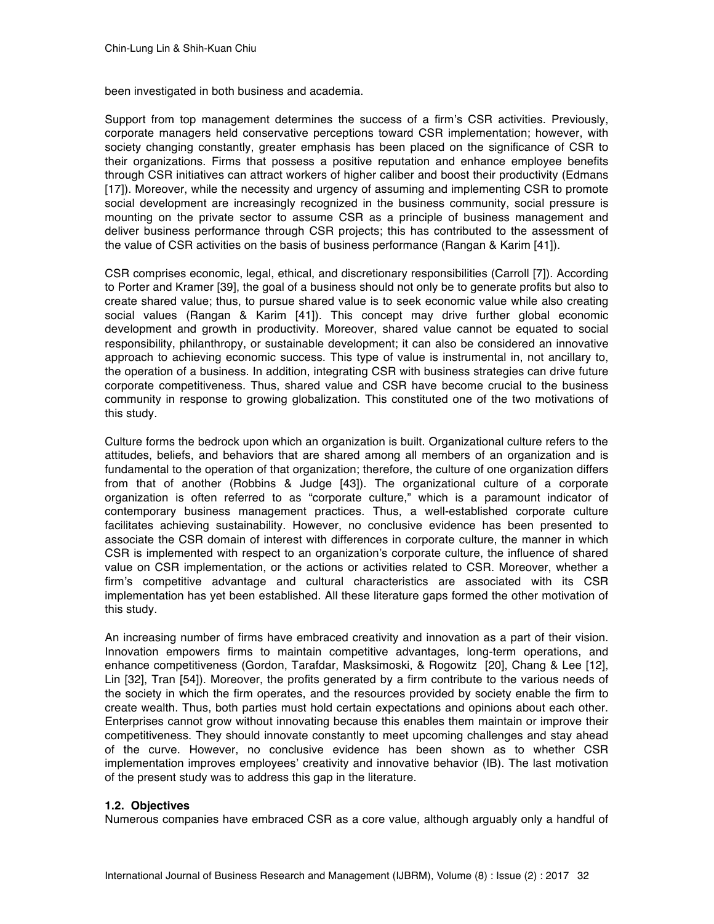been investigated in both business and academia.

Support from top management determines the success of a firm's CSR activities. Previously, corporate managers held conservative perceptions toward CSR implementation; however, with society changing constantly, greater emphasis has been placed on the significance of CSR to their organizations. Firms that possess a positive reputation and enhance employee benefits through CSR initiatives can attract workers of higher caliber and boost their productivity (Edmans [17]). Moreover, while the necessity and urgency of assuming and implementing CSR to promote social development are increasingly recognized in the business community, social pressure is mounting on the private sector to assume CSR as a principle of business management and deliver business performance through CSR projects; this has contributed to the assessment of the value of CSR activities on the basis of business performance (Rangan & Karim [41]).

CSR comprises economic, legal, ethical, and discretionary responsibilities (Carroll [7]). According to Porter and Kramer [39], the goal of a business should not only be to generate profits but also to create shared value; thus, to pursue shared value is to seek economic value while also creating social values (Rangan & Karim [41]). This concept may drive further global economic development and growth in productivity. Moreover, shared value cannot be equated to social responsibility, philanthropy, or sustainable development; it can also be considered an innovative approach to achieving economic success. This type of value is instrumental in, not ancillary to, the operation of a business. In addition, integrating CSR with business strategies can drive future corporate competitiveness. Thus, shared value and CSR have become crucial to the business community in response to growing globalization. This constituted one of the two motivations of this study.

Culture forms the bedrock upon which an organization is built. Organizational culture refers to the attitudes, beliefs, and behaviors that are shared among all members of an organization and is fundamental to the operation of that organization; therefore, the culture of one organization differs from that of another (Robbins & Judge [43]). The organizational culture of a corporate organization is often referred to as "corporate culture," which is a paramount indicator of contemporary business management practices. Thus, a well-established corporate culture facilitates achieving sustainability. However, no conclusive evidence has been presented to associate the CSR domain of interest with differences in corporate culture, the manner in which CSR is implemented with respect to an organization's corporate culture, the influence of shared value on CSR implementation, or the actions or activities related to CSR. Moreover, whether a firm's competitive advantage and cultural characteristics are associated with its CSR implementation has yet been established. All these literature gaps formed the other motivation of this study.

An increasing number of firms have embraced creativity and innovation as a part of their vision. Innovation empowers firms to maintain competitive advantages, long-term operations, and enhance competitiveness (Gordon, Tarafdar, Masksimoski, & Rogowitz [20], Chang & Lee [12], Lin [32], Tran [54]). Moreover, the profits generated by a firm contribute to the various needs of the society in which the firm operates, and the resources provided by society enable the firm to create wealth. Thus, both parties must hold certain expectations and opinions about each other. Enterprises cannot grow without innovating because this enables them maintain or improve their competitiveness. They should innovate constantly to meet upcoming challenges and stay ahead of the curve. However, no conclusive evidence has been shown as to whether CSR implementation improves employees' creativity and innovative behavior (IB). The last motivation of the present study was to address this gap in the literature.

## **1.2. Objectives**

Numerous companies have embraced CSR as a core value, although arguably only a handful of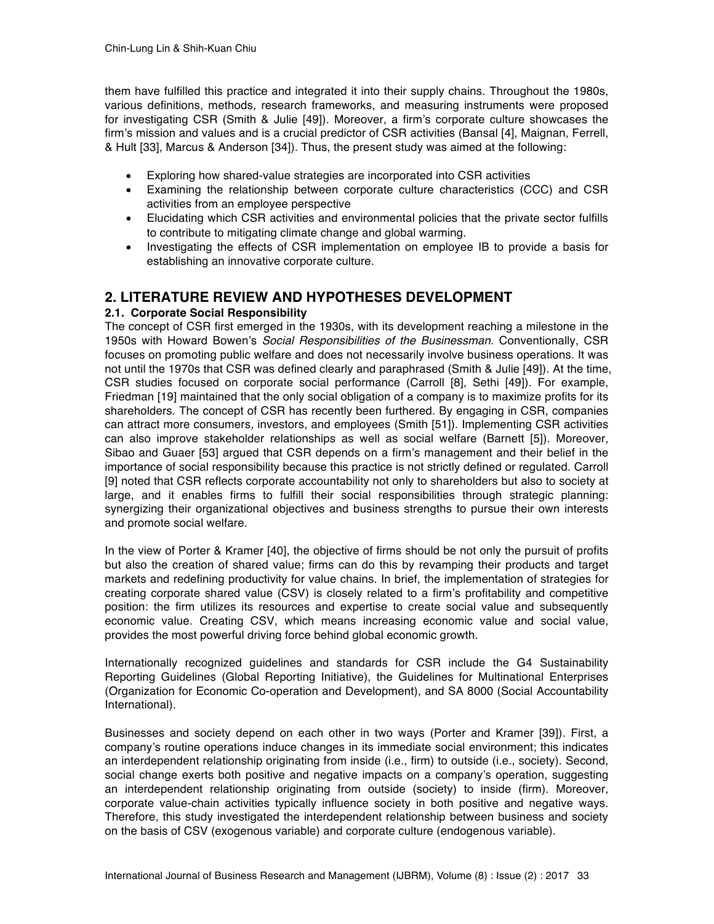them have fulfilled this practice and integrated it into their supply chains. Throughout the 1980s, various definitions, methods, research frameworks, and measuring instruments were proposed for investigating CSR (Smith & Julie [49]). Moreover, a firm's corporate culture showcases the firm's mission and values and is a crucial predictor of CSR activities (Bansal [4], Maignan, Ferrell, & Hult [33], Marcus & Anderson [34]). Thus, the present study was aimed at the following:

- Exploring how shared-value strategies are incorporated into CSR activities
- Examining the relationship between corporate culture characteristics (CCC) and CSR activities from an employee perspective
- Elucidating which CSR activities and environmental policies that the private sector fulfills to contribute to mitigating climate change and global warming.
- Investigating the effects of CSR implementation on employee IB to provide a basis for establishing an innovative corporate culture.

# **2. LITERATURE REVIEW AND HYPOTHESES DEVELOPMENT**

# **2.1. Corporate Social Responsibility**

The concept of CSR first emerged in the 1930s, with its development reaching a milestone in the 1950s with Howard Bowen's *Social Responsibilities of the Businessman*. Conventionally, CSR focuses on promoting public welfare and does not necessarily involve business operations. It was not until the 1970s that CSR was defined clearly and paraphrased (Smith & Julie [49]). At the time, CSR studies focused on corporate social performance (Carroll [8], Sethi [49]). For example, Friedman [19] maintained that the only social obligation of a company is to maximize profits for its shareholders. The concept of CSR has recently been furthered. By engaging in CSR, companies can attract more consumers, investors, and employees (Smith [51]). Implementing CSR activities can also improve stakeholder relationships as well as social welfare (Barnett [5]). Moreover, Sibao and Guaer [53] argued that CSR depends on a firm's management and their belief in the importance of social responsibility because this practice is not strictly defined or regulated. Carroll [9] noted that CSR reflects corporate accountability not only to shareholders but also to society at large, and it enables firms to fulfill their social responsibilities through strategic planning: synergizing their organizational objectives and business strengths to pursue their own interests and promote social welfare.

In the view of Porter & Kramer [40], the objective of firms should be not only the pursuit of profits but also the creation of shared value; firms can do this by revamping their products and target markets and redefining productivity for value chains. In brief, the implementation of strategies for creating corporate shared value (CSV) is closely related to a firm's profitability and competitive position: the firm utilizes its resources and expertise to create social value and subsequently economic value. Creating CSV, which means increasing economic value and social value, provides the most powerful driving force behind global economic growth.

Internationally recognized guidelines and standards for CSR include the G4 Sustainability Reporting Guidelines (Global Reporting Initiative), the Guidelines for Multinational Enterprises (Organization for Economic Co-operation and Development), and SA 8000 (Social Accountability International).

Businesses and society depend on each other in two ways (Porter and Kramer [39]). First, a company's routine operations induce changes in its immediate social environment; this indicates an interdependent relationship originating from inside (i.e., firm) to outside (i.e., society). Second, social change exerts both positive and negative impacts on a company's operation, suggesting an interdependent relationship originating from outside (society) to inside (firm). Moreover, corporate value-chain activities typically influence society in both positive and negative ways. Therefore, this study investigated the interdependent relationship between business and society on the basis of CSV (exogenous variable) and corporate culture (endogenous variable).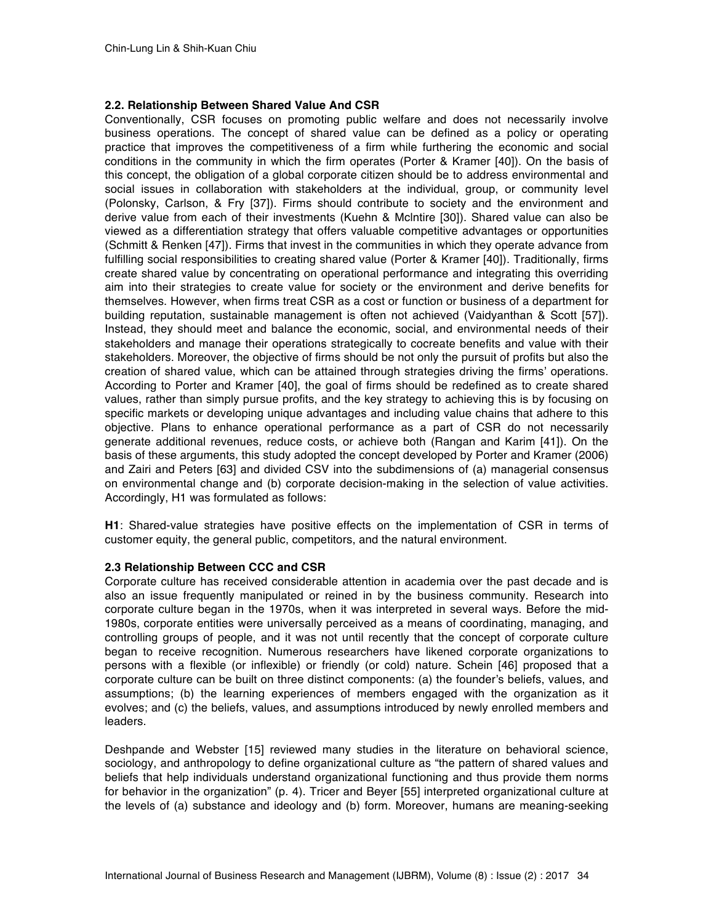## **2.2. Relationship Between Shared Value And CSR**

Conventionally, CSR focuses on promoting public welfare and does not necessarily involve business operations. The concept of shared value can be defined as a policy or operating practice that improves the competitiveness of a firm while furthering the economic and social conditions in the community in which the firm operates (Porter & Kramer [40]). On the basis of this concept, the obligation of a global corporate citizen should be to address environmental and social issues in collaboration with stakeholders at the individual, group, or community level (Polonsky, Carlson, & Fry [37]). Firms should contribute to society and the environment and derive value from each of their investments (Kuehn & Mclntire [30]). Shared value can also be viewed as a differentiation strategy that offers valuable competitive advantages or opportunities (Schmitt & Renken [47]). Firms that invest in the communities in which they operate advance from fulfilling social responsibilities to creating shared value (Porter & Kramer [40]). Traditionally, firms create shared value by concentrating on operational performance and integrating this overriding aim into their strategies to create value for society or the environment and derive benefits for themselves. However, when firms treat CSR as a cost or function or business of a department for building reputation, sustainable management is often not achieved (Vaidyanthan & Scott [57]). Instead, they should meet and balance the economic, social, and environmental needs of their stakeholders and manage their operations strategically to cocreate benefits and value with their stakeholders. Moreover, the objective of firms should be not only the pursuit of profits but also the creation of shared value, which can be attained through strategies driving the firms' operations. According to Porter and Kramer [40], the goal of firms should be redefined as to create shared values, rather than simply pursue profits, and the key strategy to achieving this is by focusing on specific markets or developing unique advantages and including value chains that adhere to this objective. Plans to enhance operational performance as a part of CSR do not necessarily generate additional revenues, reduce costs, or achieve both (Rangan and Karim [41]). On the basis of these arguments, this study adopted the concept developed by Porter and Kramer (2006) and Zairi and Peters [63] and divided CSV into the subdimensions of (a) managerial consensus on environmental change and (b) corporate decision-making in the selection of value activities. Accordingly, H1 was formulated as follows:

**H1**: Shared-value strategies have positive effects on the implementation of CSR in terms of customer equity, the general public, competitors, and the natural environment.

## **2.3 Relationship Between CCC and CSR**

Corporate culture has received considerable attention in academia over the past decade and is also an issue frequently manipulated or reined in by the business community. Research into corporate culture began in the 1970s, when it was interpreted in several ways. Before the mid-1980s, corporate entities were universally perceived as a means of coordinating, managing, and controlling groups of people, and it was not until recently that the concept of corporate culture began to receive recognition. Numerous researchers have likened corporate organizations to persons with a flexible (or inflexible) or friendly (or cold) nature. Schein [46] proposed that a corporate culture can be built on three distinct components: (a) the founder's beliefs, values, and assumptions; (b) the learning experiences of members engaged with the organization as it evolves; and (c) the beliefs, values, and assumptions introduced by newly enrolled members and leaders.

Deshpande and Webster [15] reviewed many studies in the literature on behavioral science, sociology, and anthropology to define organizational culture as "the pattern of shared values and beliefs that help individuals understand organizational functioning and thus provide them norms for behavior in the organization" (p. 4). Tricer and Beyer [55] interpreted organizational culture at the levels of (a) substance and ideology and (b) form. Moreover, humans are meaning-seeking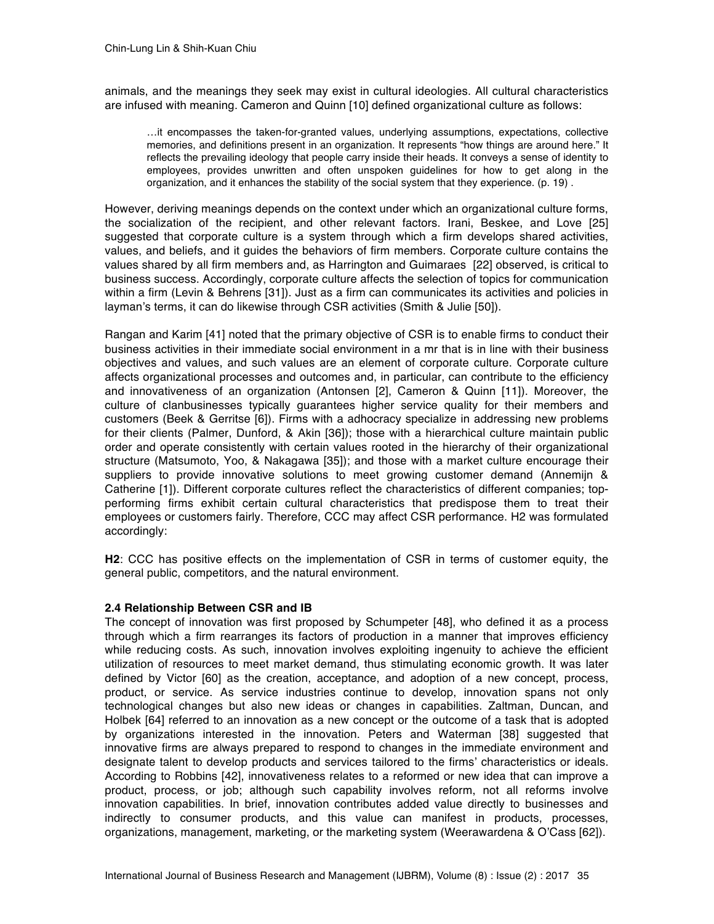animals, and the meanings they seek may exist in cultural ideologies. All cultural characteristics are infused with meaning. Cameron and Quinn [10] defined organizational culture as follows:

…it encompasses the taken-for-granted values, underlying assumptions, expectations, collective memories, and definitions present in an organization. It represents "how things are around here." It reflects the prevailing ideology that people carry inside their heads. It conveys a sense of identity to employees, provides unwritten and often unspoken guidelines for how to get along in the organization, and it enhances the stability of the social system that they experience. (p. 19) .

However, deriving meanings depends on the context under which an organizational culture forms, the socialization of the recipient, and other relevant factors. Irani, Beskee, and Love [25] suggested that corporate culture is a system through which a firm develops shared activities, values, and beliefs, and it guides the behaviors of firm members. Corporate culture contains the values shared by all firm members and, as Harrington and Guimaraes [22] observed, is critical to business success. Accordingly, corporate culture affects the selection of topics for communication within a firm (Levin & Behrens [31]). Just as a firm can communicates its activities and policies in layman's terms, it can do likewise through CSR activities (Smith & Julie [50]).

Rangan and Karim [41] noted that the primary objective of CSR is to enable firms to conduct their business activities in their immediate social environment in a mr that is in line with their business objectives and values, and such values are an element of corporate culture. Corporate culture affects organizational processes and outcomes and, in particular, can contribute to the efficiency and innovativeness of an organization (Antonsen [2], Cameron & Quinn [11]). Moreover, the culture of clanbusinesses typically guarantees higher service quality for their members and customers (Beek & Gerritse [6]). Firms with a adhocracy specialize in addressing new problems for their clients (Palmer, Dunford, & Akin [36]); those with a hierarchical culture maintain public order and operate consistently with certain values rooted in the hierarchy of their organizational structure (Matsumoto, Yoo, & Nakagawa [35]); and those with a market culture encourage their suppliers to provide innovative solutions to meet growing customer demand (Annemijn & Catherine [1]). Different corporate cultures reflect the characteristics of different companies; topperforming firms exhibit certain cultural characteristics that predispose them to treat their employees or customers fairly. Therefore, CCC may affect CSR performance. H2 was formulated accordingly:

**H2**: CCC has positive effects on the implementation of CSR in terms of customer equity, the general public, competitors, and the natural environment.

## **2.4 Relationship Between CSR and IB**

The concept of innovation was first proposed by Schumpeter [48], who defined it as a process through which a firm rearranges its factors of production in a manner that improves efficiency while reducing costs. As such, innovation involves exploiting ingenuity to achieve the efficient utilization of resources to meet market demand, thus stimulating economic growth. It was later defined by Victor [60] as the creation, acceptance, and adoption of a new concept, process, product, or service. As service industries continue to develop, innovation spans not only technological changes but also new ideas or changes in capabilities. Zaltman, Duncan, and Holbek [64] referred to an innovation as a new concept or the outcome of a task that is adopted by organizations interested in the innovation. Peters and Waterman [38] suggested that innovative firms are always prepared to respond to changes in the immediate environment and designate talent to develop products and services tailored to the firms' characteristics or ideals. According to Robbins [42], innovativeness relates to a reformed or new idea that can improve a product, process, or job; although such capability involves reform, not all reforms involve innovation capabilities. In brief, innovation contributes added value directly to businesses and indirectly to consumer products, and this value can manifest in products, processes, organizations, management, marketing, or the marketing system (Weerawardena & O'Cass [62]).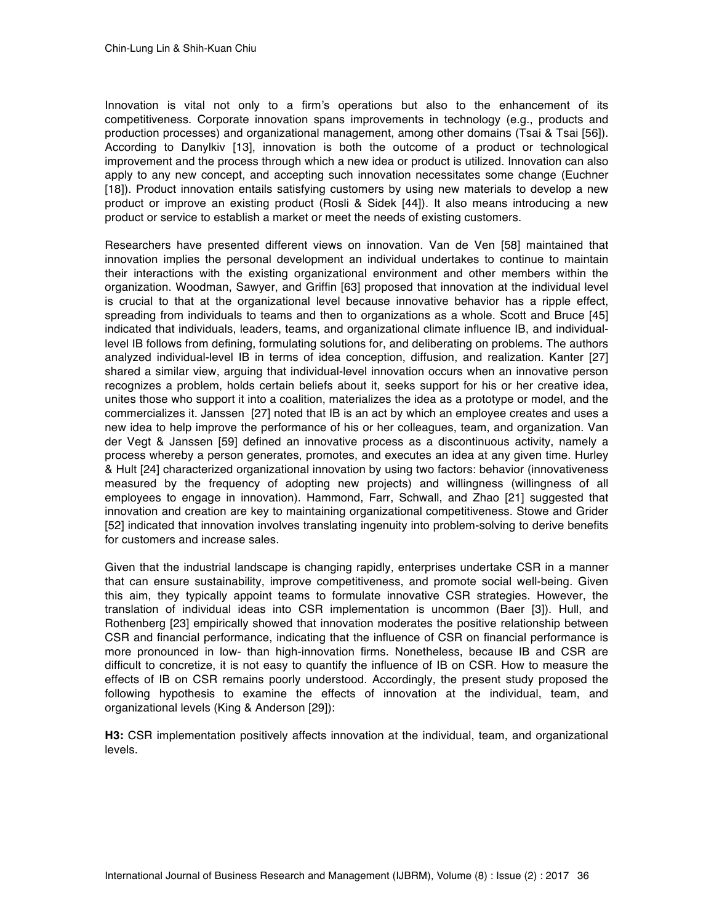Innovation is vital not only to a firm's operations but also to the enhancement of its competitiveness. Corporate innovation spans improvements in technology (e.g., products and production processes) and organizational management, among other domains (Tsai & Tsai [56]). According to Danylkiv [13], innovation is both the outcome of a product or technological improvement and the process through which a new idea or product is utilized. Innovation can also apply to any new concept, and accepting such innovation necessitates some change (Euchner [18]). Product innovation entails satisfying customers by using new materials to develop a new product or improve an existing product (Rosli & Sidek [44]). It also means introducing a new product or service to establish a market or meet the needs of existing customers.

Researchers have presented different views on innovation. Van de Ven [58] maintained that innovation implies the personal development an individual undertakes to continue to maintain their interactions with the existing organizational environment and other members within the organization. Woodman, Sawyer, and Griffin [63] proposed that innovation at the individual level is crucial to that at the organizational level because innovative behavior has a ripple effect, spreading from individuals to teams and then to organizations as a whole. Scott and Bruce [45] indicated that individuals, leaders, teams, and organizational climate influence IB, and individuallevel IB follows from defining, formulating solutions for, and deliberating on problems. The authors analyzed individual-level IB in terms of idea conception, diffusion, and realization. Kanter [27] shared a similar view, arguing that individual-level innovation occurs when an innovative person recognizes a problem, holds certain beliefs about it, seeks support for his or her creative idea, unites those who support it into a coalition, materializes the idea as a prototype or model, and the commercializes it. Janssen [27] noted that IB is an act by which an employee creates and uses a new idea to help improve the performance of his or her colleagues, team, and organization. Van der Vegt & Janssen [59] defined an innovative process as a discontinuous activity, namely a process whereby a person generates, promotes, and executes an idea at any given time. Hurley & Hult [24] characterized organizational innovation by using two factors: behavior (innovativeness measured by the frequency of adopting new projects) and willingness (willingness of all employees to engage in innovation). Hammond, Farr, Schwall, and Zhao [21] suggested that innovation and creation are key to maintaining organizational competitiveness. Stowe and Grider [52] indicated that innovation involves translating ingenuity into problem-solving to derive benefits for customers and increase sales.

Given that the industrial landscape is changing rapidly, enterprises undertake CSR in a manner that can ensure sustainability, improve competitiveness, and promote social well-being. Given this aim, they typically appoint teams to formulate innovative CSR strategies. However, the translation of individual ideas into CSR implementation is uncommon (Baer [3]). Hull, and Rothenberg [23] empirically showed that innovation moderates the positive relationship between CSR and financial performance, indicating that the influence of CSR on financial performance is more pronounced in low- than high-innovation firms. Nonetheless, because IB and CSR are difficult to concretize, it is not easy to quantify the influence of IB on CSR. How to measure the effects of IB on CSR remains poorly understood. Accordingly, the present study proposed the following hypothesis to examine the effects of innovation at the individual, team, and organizational levels (King & Anderson [29]):

**H3:** CSR implementation positively affects innovation at the individual, team, and organizational levels.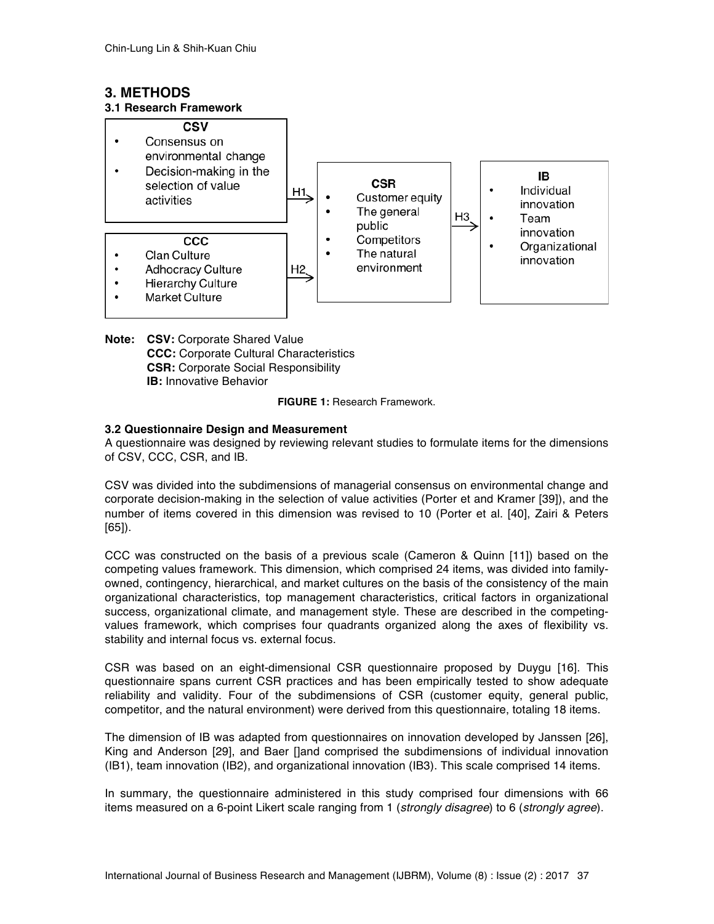# **3. METHODS**



**Note: CSV:** Corporate Shared Value **CCC:** Corporate Cultural Characteristics **CSR:** Corporate Social Responsibility **IB:** Innovative Behavior

**FIGURE 1:** Research Framework.

## **3.2 Questionnaire Design and Measurement**

A questionnaire was designed by reviewing relevant studies to formulate items for the dimensions of CSV, CCC, CSR, and IB.

CSV was divided into the subdimensions of managerial consensus on environmental change and corporate decision-making in the selection of value activities (Porter et and Kramer [39]), and the number of items covered in this dimension was revised to 10 (Porter et al. [40], Zairi & Peters [65]).

CCC was constructed on the basis of a previous scale (Cameron & Quinn [11]) based on the competing values framework. This dimension, which comprised 24 items, was divided into familyowned, contingency, hierarchical, and market cultures on the basis of the consistency of the main organizational characteristics, top management characteristics, critical factors in organizational success, organizational climate, and management style. These are described in the competingvalues framework, which comprises four quadrants organized along the axes of flexibility vs. stability and internal focus vs. external focus.

CSR was based on an eight-dimensional CSR questionnaire proposed by Duygu [16]. This questionnaire spans current CSR practices and has been empirically tested to show adequate reliability and validity. Four of the subdimensions of CSR (customer equity, general public, competitor, and the natural environment) were derived from this questionnaire, totaling 18 items.

The dimension of IB was adapted from questionnaires on innovation developed by Janssen [26], King and Anderson [29], and Baer []and comprised the subdimensions of individual innovation (IB1), team innovation (IB2), and organizational innovation (IB3). This scale comprised 14 items.

In summary, the questionnaire administered in this study comprised four dimensions with 66 items measured on a 6-point Likert scale ranging from 1 (*strongly disagree*) to 6 (*strongly agree*).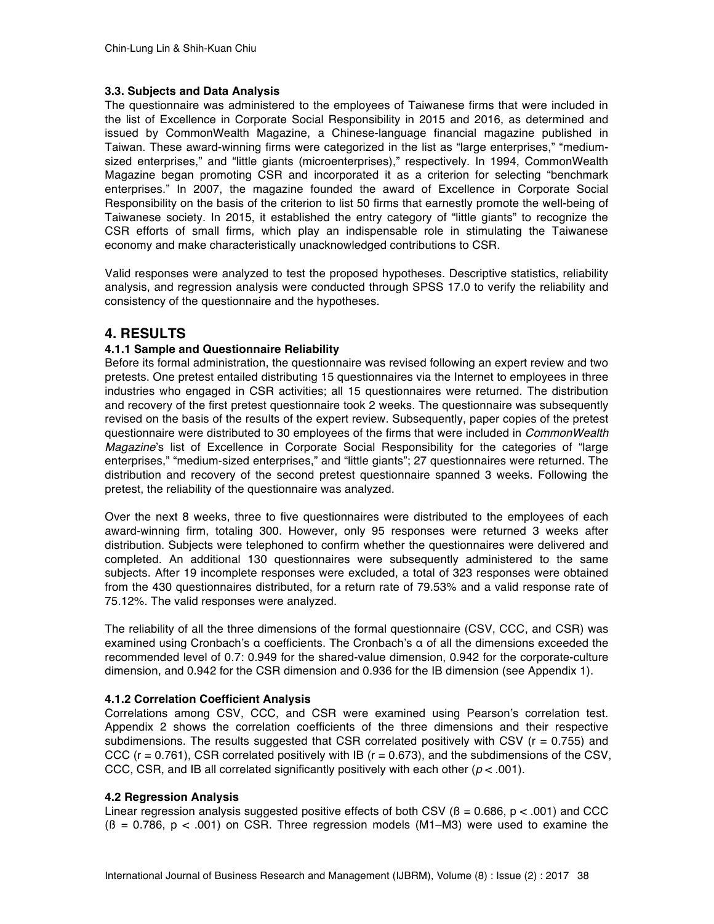# **3.3. Subjects and Data Analysis**

The questionnaire was administered to the employees of Taiwanese firms that were included in the list of Excellence in Corporate Social Responsibility in 2015 and 2016, as determined and issued by CommonWealth Magazine, a Chinese-language financial magazine published in Taiwan. These award-winning firms were categorized in the list as "large enterprises," "mediumsized enterprises," and "little giants (microenterprises)," respectively. In 1994, CommonWealth Magazine began promoting CSR and incorporated it as a criterion for selecting "benchmark enterprises." In 2007, the magazine founded the award of Excellence in Corporate Social Responsibility on the basis of the criterion to list 50 firms that earnestly promote the well-being of Taiwanese society. In 2015, it established the entry category of "little giants" to recognize the CSR efforts of small firms, which play an indispensable role in stimulating the Taiwanese economy and make characteristically unacknowledged contributions to CSR.

Valid responses were analyzed to test the proposed hypotheses. Descriptive statistics, reliability analysis, and regression analysis were conducted through SPSS 17.0 to verify the reliability and consistency of the questionnaire and the hypotheses.

# **4. RESULTS**

# **4.1.1 Sample and Questionnaire Reliability**

Before its formal administration, the questionnaire was revised following an expert review and two pretests. One pretest entailed distributing 15 questionnaires via the Internet to employees in three industries who engaged in CSR activities; all 15 questionnaires were returned. The distribution and recovery of the first pretest questionnaire took 2 weeks. The questionnaire was subsequently revised on the basis of the results of the expert review. Subsequently, paper copies of the pretest questionnaire were distributed to 30 employees of the firms that were included in *CommonWealth Magazine*'s list of Excellence in Corporate Social Responsibility for the categories of "large enterprises," "medium-sized enterprises," and "little giants"; 27 questionnaires were returned. The distribution and recovery of the second pretest questionnaire spanned 3 weeks. Following the pretest, the reliability of the questionnaire was analyzed.

Over the next 8 weeks, three to five questionnaires were distributed to the employees of each award-winning firm, totaling 300. However, only 95 responses were returned 3 weeks after distribution. Subjects were telephoned to confirm whether the questionnaires were delivered and completed. An additional 130 questionnaires were subsequently administered to the same subjects. After 19 incomplete responses were excluded, a total of 323 responses were obtained from the 430 questionnaires distributed, for a return rate of 79.53% and a valid response rate of 75.12%. The valid responses were analyzed.

The reliability of all the three dimensions of the formal questionnaire (CSV, CCC, and CSR) was examined using Cronbach's α coefficients. The Cronbach's α of all the dimensions exceeded the recommended level of 0.7: 0.949 for the shared-value dimension, 0.942 for the corporate-culture dimension, and 0.942 for the CSR dimension and 0.936 for the IB dimension (see Appendix 1).

# **4.1.2 Correlation Coefficient Analysis**

Correlations among CSV, CCC, and CSR were examined using Pearson's correlation test. Appendix 2 shows the correlation coefficients of the three dimensions and their respective subdimensions. The results suggested that CSR correlated positively with CSV  $(r = 0.755)$  and CCC ( $r = 0.761$ ), CSR correlated positively with IB ( $r = 0.673$ ), and the subdimensions of the CSV, CCC, CSR, and IB all correlated significantly positively with each other  $(p < .001)$ .

## **4.2 Regression Analysis**

Linear regression analysis suggested positive effects of both CSV ( $\beta$  = 0.686, p < .001) and CCC  $(6 = 0.786, p < .001)$  on CSR. Three regression models (M1–M3) were used to examine the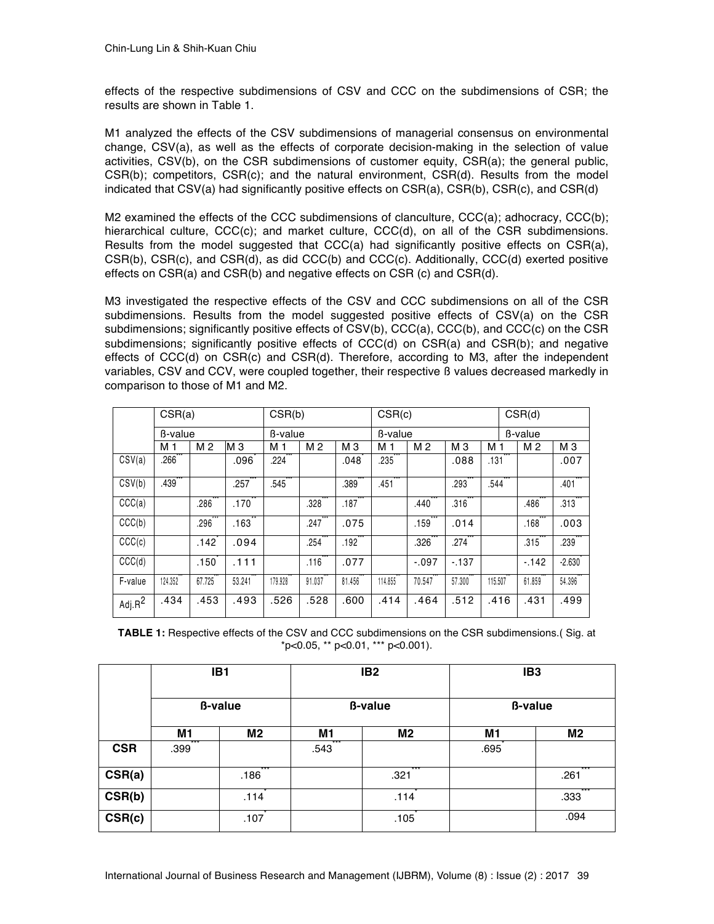effects of the respective subdimensions of CSV and CCC on the subdimensions of CSR; the results are shown in Table 1.

M1 analyzed the effects of the CSV subdimensions of managerial consensus on environmental change, CSV(a), as well as the effects of corporate decision-making in the selection of value activities, CSV(b), on the CSR subdimensions of customer equity, CSR(a); the general public, CSR(b); competitors, CSR(c); and the natural environment, CSR(d). Results from the model indicated that CSV(a) had significantly positive effects on CSR(a), CSR(b), CSR(c), and CSR(d)

M2 examined the effects of the CCC subdimensions of clanculture, CCC(a); adhocracy, CCC(b); hierarchical culture, CCC(c); and market culture, CCC(d), on all of the CSR subdimensions. Results from the model suggested that  $CCC(a)$  had significantly positive effects on  $CSR(a)$ , CSR(b), CSR(c), and CSR(d), as did CCC(b) and CCC(c). Additionally, CCC(d) exerted positive effects on CSR(a) and CSR(b) and negative effects on CSR (c) and CSR(d).

M3 investigated the respective effects of the CSV and CCC subdimensions on all of the CSR subdimensions. Results from the model suggested positive effects of CSV(a) on the CSR subdimensions; significantly positive effects of CSV(b), CCC(a), CCC(b), and CCC(c) on the CSR subdimensions; significantly positive effects of CCC(d) on CSR(a) and CSR(b); and negative effects of CCC(d) on CSR(c) and CSR(d). Therefore, according to M3, after the independent variables, CSV and CCV, were coupled together, their respective ß values decreased markedly in comparison to those of M1 and M2.

|                    | CSR(a)         |                |                | CSR(b)         |        |                | CSR(c)         |                |                |                | CSR(d)         |                      |  |
|--------------------|----------------|----------------|----------------|----------------|--------|----------------|----------------|----------------|----------------|----------------|----------------|----------------------|--|
|                    | <b>B-value</b> |                |                | <b>B-value</b> |        |                | <b>B-value</b> |                |                |                | <b>B-value</b> |                      |  |
|                    | M 1            | M <sub>2</sub> | M <sub>3</sub> | M <sub>1</sub> | M 2    | M <sub>3</sub> | M 1            | M <sub>2</sub> | M <sub>3</sub> | M <sub>1</sub> | M <sub>2</sub> | M <sub>3</sub>       |  |
| CSV(a)             | .266           |                | .096           | .224           |        | .048           | .235           |                | .088           | .131           |                | .007                 |  |
| CSV(b)             | .439           |                | .257           | .545           |        | .389           | .451           |                | .293           | .544           |                | .401                 |  |
| CCC(a)             |                | .286           | .170           |                | .328   | .187           |                | .440           | .316           |                | .486           | .313                 |  |
| CCC(b)             |                | .296           | .163           |                | .247   | .075           |                | .159           | .014           |                | .168           | .003                 |  |
| CCC(c)             |                | .142           | .094           |                | .254   | .192           |                | .326           | .274           |                | .315           | $.239$ <sup>-1</sup> |  |
| CCC(d)             |                | .150           | .111           |                | .116   | .077           |                | $-.097$        | $-137$         |                | $-142$         | $-2.630$             |  |
| F-value            | 124.352        | 67.725         | 53.241         | 179.928        | 91.037 | 81.456         | 114.855        | 70.547         | 57.300         | 115.507        | 61.859         | 54.396               |  |
| Adj.R <sup>2</sup> | .434           | .453           | .493           | .526           | .528   | .600           | .414           | .464           | .512           | .416           | .431           | .499                 |  |

**TABLE 1:** Respective effects of the CSV and CCC subdimensions on the CSR subdimensions.( Sig. at \*p<0.05, \*\* p<0.01, \*\*\* p<0.001).

|            |                                  | IB <sub>1</sub>      |                | IB <sub>2</sub> | IB <sub>3</sub><br><b>B-value</b> |                |  |
|------------|----------------------------------|----------------------|----------------|-----------------|-----------------------------------|----------------|--|
|            |                                  | <b>B-value</b>       |                | <b>B-value</b>  |                                   |                |  |
|            | M <sub>2</sub><br>M <sub>1</sub> |                      | M <sub>1</sub> | M <sub>2</sub>  | M <sub>1</sub>                    | M <sub>2</sub> |  |
| <b>CSR</b> | ***<br>.399                      |                      | $***$<br>.543  |                 | .695                              |                |  |
| CSR(a)     |                                  | $x \times x$<br>.186 |                | .321            |                                   | x x<br>.261    |  |
| CSR(b)     |                                  | .114                 |                | .114            |                                   | ***<br>.333    |  |
| CSR(c)     |                                  | .107                 |                | .105            |                                   | .094           |  |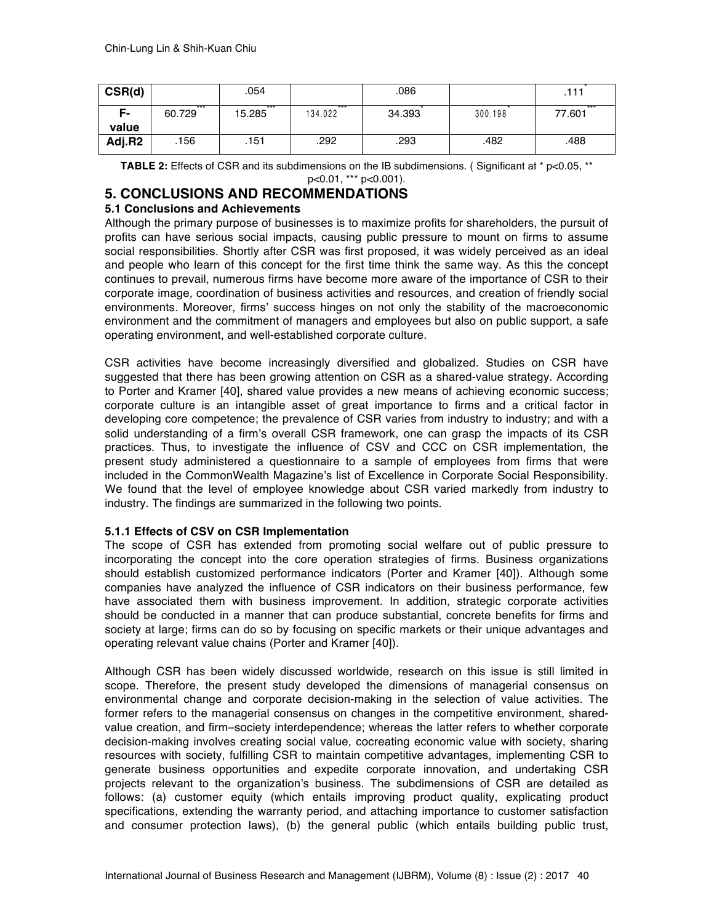| CSR(d)       |                 | .054            |                  | .086   |         | .111            |
|--------------|-----------------|-----------------|------------------|--------|---------|-----------------|
| F-l<br>value | $***$<br>60.729 | $***$<br>15.285 | $***$<br>134.022 | 34.393 | 300.198 | $***$<br>77.601 |
| Adj.R2       | .156            | .151            | .292             | .293   | .482    | .488            |

**TABLE 2:** Effects of CSR and its subdimensions on the IB subdimensions. ( Significant at \* p<0.05, \*\* p<0.01, \*\*\* p<0.001).

# **5. CONCLUSIONS AND RECOMMENDATIONS**

# **5.1 Conclusions and Achievements**

Although the primary purpose of businesses is to maximize profits for shareholders, the pursuit of profits can have serious social impacts, causing public pressure to mount on firms to assume social responsibilities. Shortly after CSR was first proposed, it was widely perceived as an ideal and people who learn of this concept for the first time think the same way. As this the concept continues to prevail, numerous firms have become more aware of the importance of CSR to their corporate image, coordination of business activities and resources, and creation of friendly social environments. Moreover, firms' success hinges on not only the stability of the macroeconomic environment and the commitment of managers and employees but also on public support, a safe operating environment, and well-established corporate culture.

CSR activities have become increasingly diversified and globalized. Studies on CSR have suggested that there has been growing attention on CSR as a shared-value strategy. According to Porter and Kramer [40], shared value provides a new means of achieving economic success; corporate culture is an intangible asset of great importance to firms and a critical factor in developing core competence; the prevalence of CSR varies from industry to industry; and with a solid understanding of a firm's overall CSR framework, one can grasp the impacts of its CSR practices. Thus, to investigate the influence of CSV and CCC on CSR implementation, the present study administered a questionnaire to a sample of employees from firms that were included in the CommonWealth Magazine's list of Excellence in Corporate Social Responsibility. We found that the level of employee knowledge about CSR varied markedly from industry to industry. The findings are summarized in the following two points.

# **5.1.1 Effects of CSV on CSR Implementation**

The scope of CSR has extended from promoting social welfare out of public pressure to incorporating the concept into the core operation strategies of firms. Business organizations should establish customized performance indicators (Porter and Kramer [40]). Although some companies have analyzed the influence of CSR indicators on their business performance, few have associated them with business improvement. In addition, strategic corporate activities should be conducted in a manner that can produce substantial, concrete benefits for firms and society at large; firms can do so by focusing on specific markets or their unique advantages and operating relevant value chains (Porter and Kramer [40]).

Although CSR has been widely discussed worldwide, research on this issue is still limited in scope. Therefore, the present study developed the dimensions of managerial consensus on environmental change and corporate decision-making in the selection of value activities. The former refers to the managerial consensus on changes in the competitive environment, sharedvalue creation, and firm–society interdependence; whereas the latter refers to whether corporate decision-making involves creating social value, cocreating economic value with society, sharing resources with society, fulfilling CSR to maintain competitive advantages, implementing CSR to generate business opportunities and expedite corporate innovation, and undertaking CSR projects relevant to the organization's business. The subdimensions of CSR are detailed as follows: (a) customer equity (which entails improving product quality, explicating product specifications, extending the warranty period, and attaching importance to customer satisfaction and consumer protection laws), (b) the general public (which entails building public trust,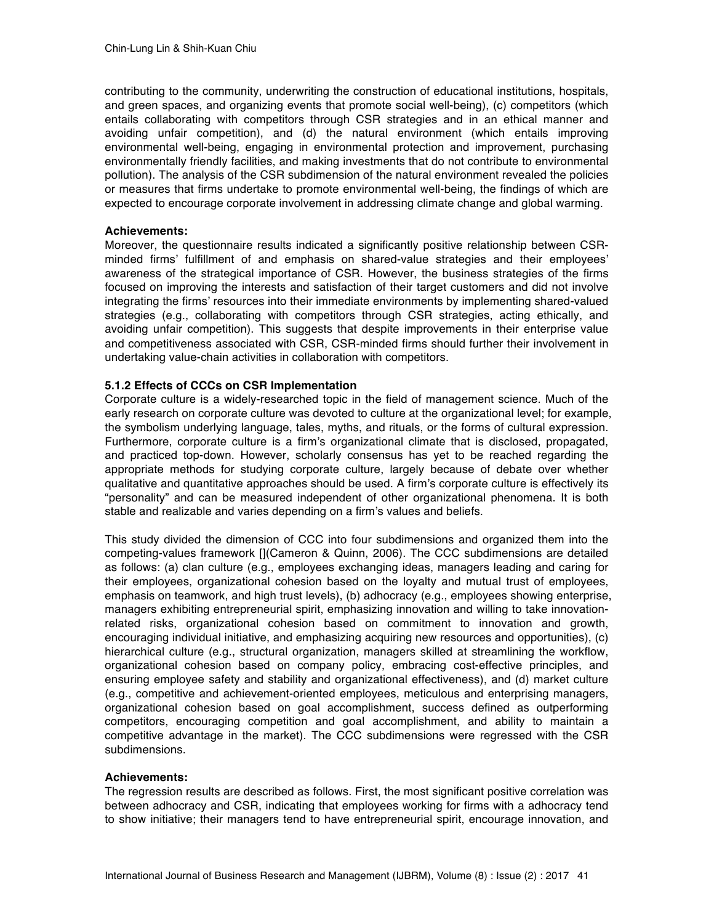contributing to the community, underwriting the construction of educational institutions, hospitals, and green spaces, and organizing events that promote social well-being), (c) competitors (which entails collaborating with competitors through CSR strategies and in an ethical manner and avoiding unfair competition), and (d) the natural environment (which entails improving environmental well-being, engaging in environmental protection and improvement, purchasing environmentally friendly facilities, and making investments that do not contribute to environmental pollution). The analysis of the CSR subdimension of the natural environment revealed the policies or measures that firms undertake to promote environmental well-being, the findings of which are expected to encourage corporate involvement in addressing climate change and global warming.

## **Achievements:**

Moreover, the questionnaire results indicated a significantly positive relationship between CSRminded firms' fulfillment of and emphasis on shared-value strategies and their employees' awareness of the strategical importance of CSR. However, the business strategies of the firms focused on improving the interests and satisfaction of their target customers and did not involve integrating the firms' resources into their immediate environments by implementing shared-valued strategies (e.g., collaborating with competitors through CSR strategies, acting ethically, and avoiding unfair competition). This suggests that despite improvements in their enterprise value and competitiveness associated with CSR, CSR-minded firms should further their involvement in undertaking value-chain activities in collaboration with competitors.

## **5.1.2 Effects of CCCs on CSR Implementation**

Corporate culture is a widely-researched topic in the field of management science. Much of the early research on corporate culture was devoted to culture at the organizational level; for example, the symbolism underlying language, tales, myths, and rituals, or the forms of cultural expression. Furthermore, corporate culture is a firm's organizational climate that is disclosed, propagated, and practiced top-down. However, scholarly consensus has yet to be reached regarding the appropriate methods for studying corporate culture, largely because of debate over whether qualitative and quantitative approaches should be used. A firm's corporate culture is effectively its "personality" and can be measured independent of other organizational phenomena. It is both stable and realizable and varies depending on a firm's values and beliefs.

This study divided the dimension of CCC into four subdimensions and organized them into the competing-values framework [](Cameron & Quinn, 2006). The CCC subdimensions are detailed as follows: (a) clan culture (e.g., employees exchanging ideas, managers leading and caring for their employees, organizational cohesion based on the loyalty and mutual trust of employees, emphasis on teamwork, and high trust levels), (b) adhocracy (e.g., employees showing enterprise, managers exhibiting entrepreneurial spirit, emphasizing innovation and willing to take innovationrelated risks, organizational cohesion based on commitment to innovation and growth, encouraging individual initiative, and emphasizing acquiring new resources and opportunities), (c) hierarchical culture (e.g., structural organization, managers skilled at streamlining the workflow, organizational cohesion based on company policy, embracing cost-effective principles, and ensuring employee safety and stability and organizational effectiveness), and (d) market culture (e.g., competitive and achievement-oriented employees, meticulous and enterprising managers, organizational cohesion based on goal accomplishment, success defined as outperforming competitors, encouraging competition and goal accomplishment, and ability to maintain a competitive advantage in the market). The CCC subdimensions were regressed with the CSR subdimensions.

#### **Achievements:**

The regression results are described as follows. First, the most significant positive correlation was between adhocracy and CSR, indicating that employees working for firms with a adhocracy tend to show initiative; their managers tend to have entrepreneurial spirit, encourage innovation, and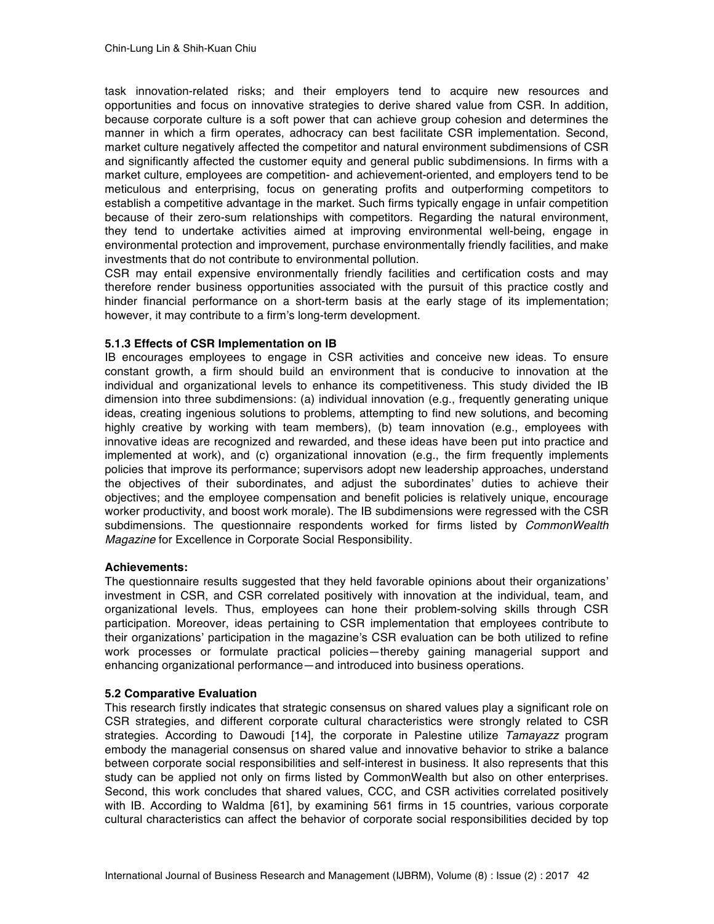task innovation-related risks; and their employers tend to acquire new resources and opportunities and focus on innovative strategies to derive shared value from CSR. In addition, because corporate culture is a soft power that can achieve group cohesion and determines the manner in which a firm operates, adhocracy can best facilitate CSR implementation. Second, market culture negatively affected the competitor and natural environment subdimensions of CSR and significantly affected the customer equity and general public subdimensions. In firms with a market culture, employees are competition- and achievement-oriented, and employers tend to be meticulous and enterprising, focus on generating profits and outperforming competitors to establish a competitive advantage in the market. Such firms typically engage in unfair competition because of their zero-sum relationships with competitors. Regarding the natural environment, they tend to undertake activities aimed at improving environmental well-being, engage in environmental protection and improvement, purchase environmentally friendly facilities, and make investments that do not contribute to environmental pollution.

CSR may entail expensive environmentally friendly facilities and certification costs and may therefore render business opportunities associated with the pursuit of this practice costly and hinder financial performance on a short-term basis at the early stage of its implementation; however, it may contribute to a firm's long-term development.

## **5.1.3 Effects of CSR Implementation on IB**

IB encourages employees to engage in CSR activities and conceive new ideas. To ensure constant growth, a firm should build an environment that is conducive to innovation at the individual and organizational levels to enhance its competitiveness. This study divided the IB dimension into three subdimensions: (a) individual innovation (e.g., frequently generating unique ideas, creating ingenious solutions to problems, attempting to find new solutions, and becoming highly creative by working with team members), (b) team innovation (e.g., employees with innovative ideas are recognized and rewarded, and these ideas have been put into practice and implemented at work), and (c) organizational innovation (e.g., the firm frequently implements policies that improve its performance; supervisors adopt new leadership approaches, understand the objectives of their subordinates, and adjust the subordinates' duties to achieve their objectives; and the employee compensation and benefit policies is relatively unique, encourage worker productivity, and boost work morale). The IB subdimensions were regressed with the CSR subdimensions. The questionnaire respondents worked for firms listed by *CommonWealth Magazine* for Excellence in Corporate Social Responsibility.

## **Achievements:**

The questionnaire results suggested that they held favorable opinions about their organizations' investment in CSR, and CSR correlated positively with innovation at the individual, team, and organizational levels. Thus, employees can hone their problem-solving skills through CSR participation. Moreover, ideas pertaining to CSR implementation that employees contribute to their organizations' participation in the magazine's CSR evaluation can be both utilized to refine work processes or formulate practical policies—thereby gaining managerial support and enhancing organizational performance—and introduced into business operations.

## **5.2 Comparative Evaluation**

This research firstly indicates that strategic consensus on shared values play a significant role on CSR strategies, and different corporate cultural characteristics were strongly related to CSR strategies. According to Dawoudi [14], the corporate in Palestine utilize *Tamayazz* program embody the managerial consensus on shared value and innovative behavior to strike a balance between corporate social responsibilities and self-interest in business. It also represents that this study can be applied not only on firms listed by CommonWealth but also on other enterprises. Second, this work concludes that shared values, CCC, and CSR activities correlated positively with IB. According to Waldma [61], by examining 561 firms in 15 countries, various corporate cultural characteristics can affect the behavior of corporate social responsibilities decided by top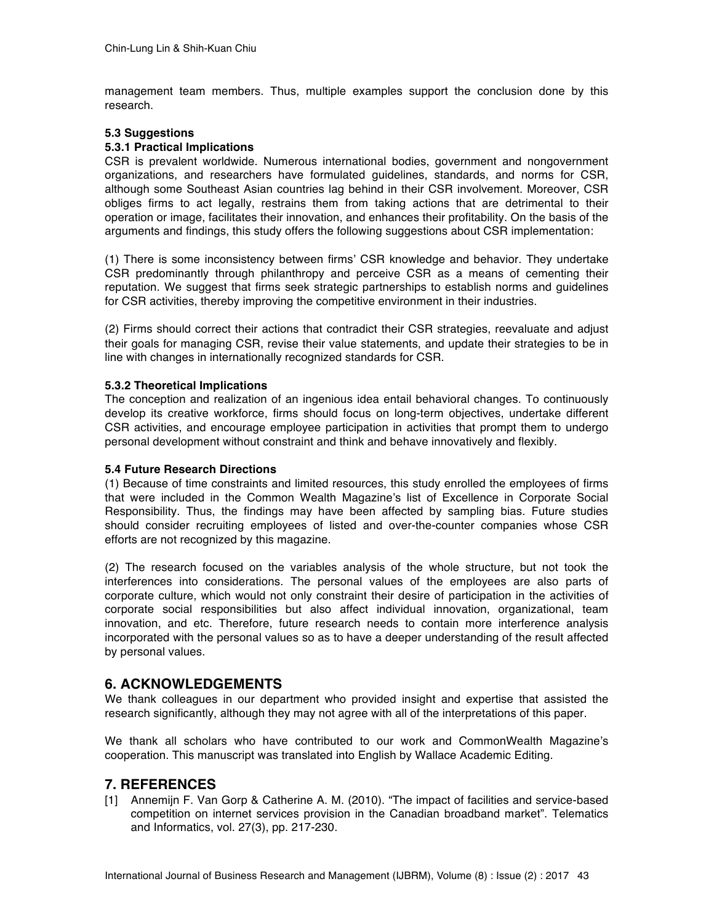management team members. Thus, multiple examples support the conclusion done by this research.

## **5.3 Suggestions**

#### **5.3.1 Practical Implications**

CSR is prevalent worldwide. Numerous international bodies, government and nongovernment organizations, and researchers have formulated guidelines, standards, and norms for CSR, although some Southeast Asian countries lag behind in their CSR involvement. Moreover, CSR obliges firms to act legally, restrains them from taking actions that are detrimental to their operation or image, facilitates their innovation, and enhances their profitability. On the basis of the arguments and findings, this study offers the following suggestions about CSR implementation:

(1) There is some inconsistency between firms' CSR knowledge and behavior. They undertake CSR predominantly through philanthropy and perceive CSR as a means of cementing their reputation. We suggest that firms seek strategic partnerships to establish norms and guidelines for CSR activities, thereby improving the competitive environment in their industries.

(2) Firms should correct their actions that contradict their CSR strategies, reevaluate and adjust their goals for managing CSR, revise their value statements, and update their strategies to be in line with changes in internationally recognized standards for CSR.

#### **5.3.2 Theoretical Implications**

The conception and realization of an ingenious idea entail behavioral changes. To continuously develop its creative workforce, firms should focus on long-term objectives, undertake different CSR activities, and encourage employee participation in activities that prompt them to undergo personal development without constraint and think and behave innovatively and flexibly.

## **5.4 Future Research Directions**

(1) Because of time constraints and limited resources, this study enrolled the employees of firms that were included in the Common Wealth Magazine's list of Excellence in Corporate Social Responsibility. Thus, the findings may have been affected by sampling bias. Future studies should consider recruiting employees of listed and over-the-counter companies whose CSR efforts are not recognized by this magazine.

(2) The research focused on the variables analysis of the whole structure, but not took the interferences into considerations. The personal values of the employees are also parts of corporate culture, which would not only constraint their desire of participation in the activities of corporate social responsibilities but also affect individual innovation, organizational, team innovation, and etc. Therefore, future research needs to contain more interference analysis incorporated with the personal values so as to have a deeper understanding of the result affected by personal values.

# **6. ACKNOWLEDGEMENTS**

We thank colleagues in our department who provided insight and expertise that assisted the research significantly, although they may not agree with all of the interpretations of this paper.

We thank all scholars who have contributed to our work and CommonWealth Magazine's cooperation. This manuscript was translated into English by Wallace Academic Editing.

# **7. REFERENCES**

[1] Annemijn F. Van Gorp & Catherine A. M. (2010). "The impact of facilities and service-based competition on internet services provision in the Canadian broadband market". Telematics and Informatics, vol. 27(3), pp. 217-230.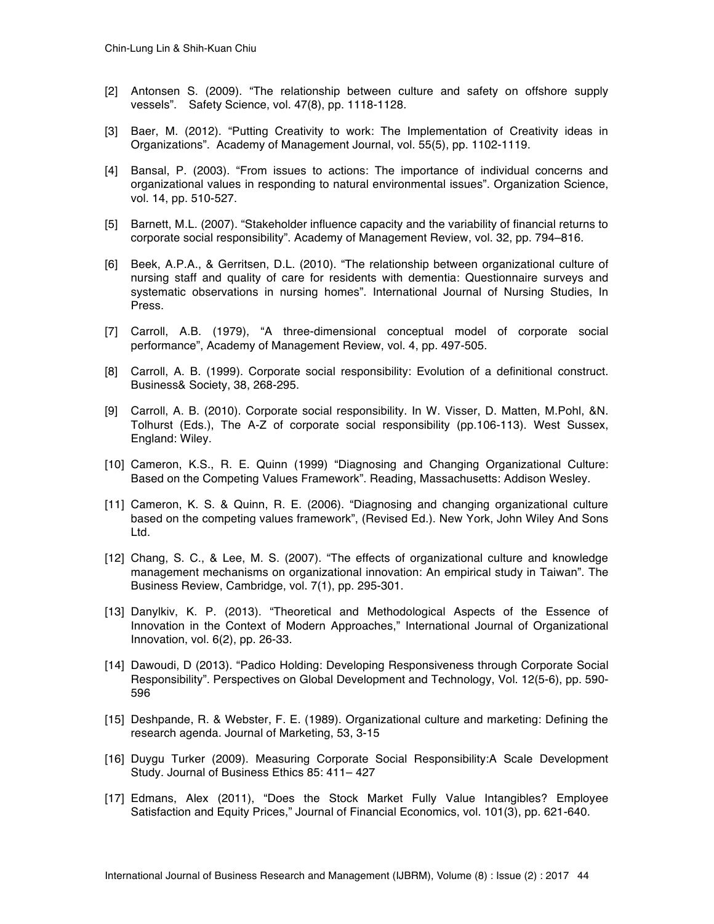- [2] Antonsen S. (2009). "The relationship between culture and safety on offshore supply vessels". Safety Science, vol. 47(8), pp. 1118-1128.
- [3] Baer, M. (2012). "Putting Creativity to work: The Implementation of Creativity ideas in Organizations". Academy of Management Journal, vol. 55(5), pp. 1102-1119.
- [4] Bansal, P. (2003). "From issues to actions: The importance of individual concerns and organizational values in responding to natural environmental issues". Organization Science, vol. 14, pp. 510-527.
- [5] Barnett, M.L. (2007). "Stakeholder influence capacity and the variability of financial returns to corporate social responsibility". Academy of Management Review, vol. 32, pp. 794–816.
- [6] Beek, A.P.A., & Gerritsen, D.L. (2010). "The relationship between organizational culture of nursing staff and quality of care for residents with dementia: Questionnaire surveys and systematic observations in nursing homes". International Journal of Nursing Studies, In Press.
- [7] Carroll, A.B. (1979), "A three-dimensional conceptual model of corporate social performance", Academy of Management Review, vol. 4, pp. 497-505.
- [8] Carroll, A. B. (1999). Corporate social responsibility: Evolution of a definitional construct. Business& Society, 38, 268-295.
- [9] Carroll, A. B. (2010). Corporate social responsibility. In W. Visser, D. Matten, M.Pohl, &N. Tolhurst (Eds.), The A-Z of corporate social responsibility (pp.106-113). West Sussex, England: Wiley.
- [10] Cameron, K.S., R. E. Quinn (1999) "Diagnosing and Changing Organizational Culture: Based on the Competing Values Framework". Reading, Massachusetts: Addison Wesley.
- [11] Cameron, K. S. & Quinn, R. E. (2006). "Diagnosing and changing organizational culture based on the competing values framework", (Revised Ed.). New York, John Wiley And Sons Ltd.
- [12] Chang, S. C., & Lee, M. S. (2007). "The effects of organizational culture and knowledge management mechanisms on organizational innovation: An empirical study in Taiwan". The Business Review, Cambridge, vol. 7(1), pp. 295-301.
- [13] Danylkiv, K. P. (2013). "Theoretical and Methodological Aspects of the Essence of Innovation in the Context of Modern Approaches," International Journal of Organizational Innovation, vol. 6(2), pp. 26-33.
- [14] Dawoudi, D (2013). "Padico Holding: Developing Responsiveness through Corporate Social Responsibility". Perspectives on Global Development and Technology, Vol. 12(5-6), pp. 590- 596
- [15] Deshpande, R. & Webster, F. E. (1989). Organizational culture and marketing: Defining the research agenda. Journal of Marketing, 53, 3-15
- [16] Duygu Turker (2009). Measuring Corporate Social Responsibility:A Scale Development Study. Journal of Business Ethics 85: 411– 427
- [17] Edmans, Alex (2011), "Does the Stock Market Fully Value Intangibles? Employee Satisfaction and Equity Prices," Journal of Financial Economics, vol. 101(3), pp. 621-640.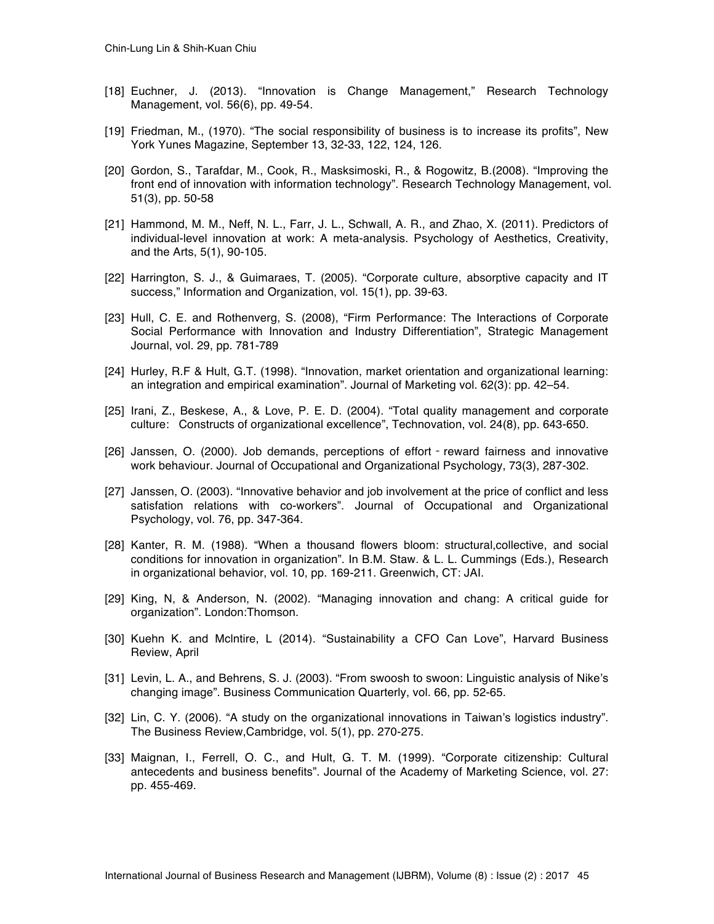- [18] Euchner, J. (2013). "Innovation is Change Management," Research Technology Management, vol. 56(6), pp. 49-54.
- [19] Friedman, M., (1970). "The social responsibility of business is to increase its profits", New York Yunes Magazine, September 13, 32-33, 122, 124, 126.
- [20] Gordon, S., Tarafdar, M., Cook, R., Masksimoski, R., & Rogowitz, B.(2008). "Improving the front end of innovation with information technology". Research Technology Management, vol. 51(3), pp. 50-58
- [21] Hammond, M. M., Neff, N. L., Farr, J. L., Schwall, A. R., and Zhao, X. (2011). Predictors of individual-level innovation at work: A meta-analysis. Psychology of Aesthetics, Creativity, and the Arts, 5(1), 90-105.
- [22] Harrington, S. J., & Guimaraes, T. (2005). "Corporate culture, absorptive capacity and IT success," Information and Organization, vol. 15(1), pp. 39-63.
- [23] Hull, C. E. and Rothenverg, S. (2008), "Firm Performance: The Interactions of Corporate Social Performance with Innovation and Industry Differentiation", Strategic Management Journal, vol. 29, pp. 781-789
- [24] Hurley, R.F & Hult, G.T. (1998). "Innovation, market orientation and organizational learning: an integration and empirical examination". Journal of Marketing vol. 62(3): pp. 42–54.
- [25] Irani, Z., Beskese, A., & Love, P. E. D. (2004). "Total quality management and corporate culture: Constructs of organizational excellence", Technovation, vol. 24(8), pp. 643-650.
- [26] Janssen, O. (2000). Job demands, perceptions of effort reward fairness and innovative work behaviour. Journal of Occupational and Organizational Psychology, 73(3), 287-302.
- [27] Janssen, O. (2003). "Innovative behavior and job involvement at the price of conflict and less satisfation relations with co-workers". Journal of Occupational and Organizational Psychology, vol. 76, pp. 347-364.
- [28] Kanter, R. M. (1988). "When a thousand flowers bloom: structural,collective, and social conditions for innovation in organization". In B.M. Staw. & L. L. Cummings (Eds.), Research in organizational behavior, vol. 10, pp. 169-211. Greenwich, CT: JAI.
- [29] King, N, & Anderson, N. (2002). "Managing innovation and chang: A critical guide for organization". London:Thomson.
- [30] Kuehn K. and Mclntire, L (2014). "Sustainability a CFO Can Love", Harvard Business Review, April
- [31] Levin, L. A., and Behrens, S. J. (2003). "From swoosh to swoon: Linguistic analysis of Nike's changing image". Business Communication Quarterly, vol. 66, pp. 52-65.
- [32] Lin, C. Y. (2006). "A study on the organizational innovations in Taiwan's logistics industry". The Business Review,Cambridge, vol. 5(1), pp. 270-275.
- [33] Maignan, I., Ferrell, O. C., and Hult, G. T. M. (1999). "Corporate citizenship: Cultural antecedents and business benefits". Journal of the Academy of Marketing Science, vol. 27: pp. 455-469.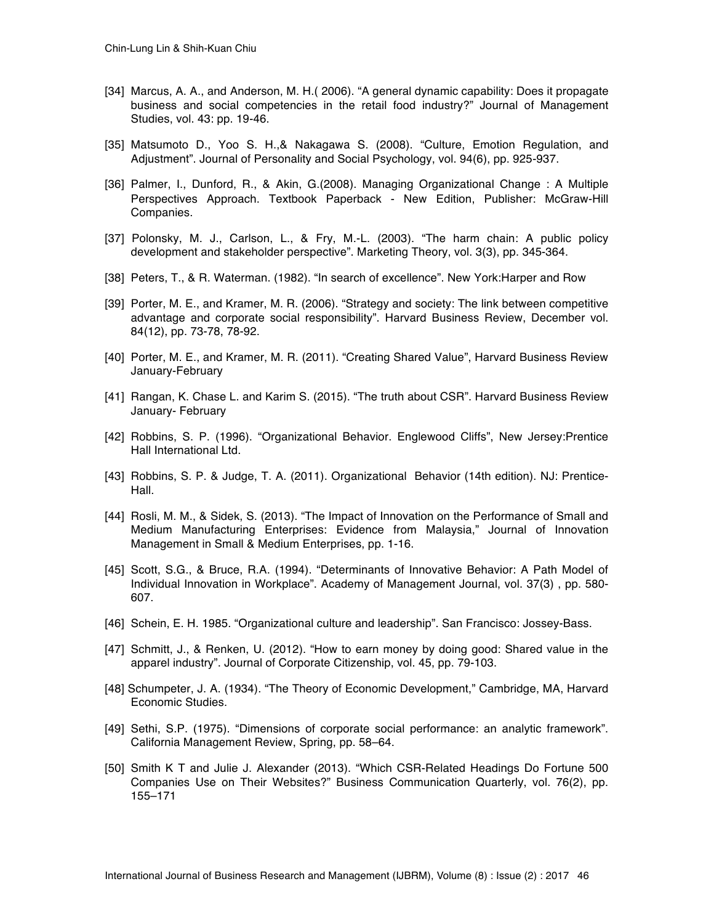- [34] Marcus, A. A., and Anderson, M. H.( 2006). "A general dynamic capability: Does it propagate business and social competencies in the retail food industry?" Journal of Management Studies, vol. 43: pp. 19-46.
- [35] Matsumoto D., Yoo S. H.,& Nakagawa S. (2008). "Culture, Emotion Regulation, and Adjustment". Journal of Personality and Social Psychology, vol. 94(6), pp. 925-937.
- [36] Palmer, I., Dunford, R., & Akin, G.(2008). Managing Organizational Change : A Multiple Perspectives Approach. Textbook Paperback - New Edition, Publisher: McGraw-Hill Companies.
- [37] Polonsky, M. J., Carlson, L., & Fry, M.-L. (2003). "The harm chain: A public policy development and stakeholder perspective". Marketing Theory, vol. 3(3), pp. 345-364.
- [38] Peters, T., & R. Waterman. (1982). "In search of excellence". New York:Harper and Row
- [39] Porter, M. E., and Kramer, M. R. (2006). "Strategy and society: The link between competitive advantage and corporate social responsibility". Harvard Business Review, December vol. 84(12), pp. 73-78, 78-92.
- [40] Porter, M. E., and Kramer, M. R. (2011). "Creating Shared Value", Harvard Business Review January-February
- [41] Rangan, K. Chase L. and Karim S. (2015). "The truth about CSR". Harvard Business Review January- February
- [42] Robbins, S. P. (1996). "Organizational Behavior. Englewood Cliffs", New Jersey:Prentice Hall International Ltd.
- [43] Robbins, S. P. & Judge, T. A. (2011). Organizational Behavior (14th edition). NJ: Prentice-Hall.
- [44] Rosli, M. M., & Sidek, S. (2013). "The Impact of Innovation on the Performance of Small and Medium Manufacturing Enterprises: Evidence from Malaysia," Journal of Innovation Management in Small & Medium Enterprises, pp. 1-16.
- [45] Scott, S.G., & Bruce, R.A. (1994). "Determinants of Innovative Behavior: A Path Model of Individual Innovation in Workplace". Academy of Management Journal, vol. 37(3) , pp. 580- 607.
- [46] Schein, E. H. 1985. "Organizational culture and leadership". San Francisco: Jossey-Bass.
- [47] Schmitt, J., & Renken, U. (2012). "How to earn money by doing good: Shared value in the apparel industry". Journal of Corporate Citizenship, vol. 45, pp. 79-103.
- [48] Schumpeter, J. A. (1934). "The Theory of Economic Development," Cambridge, MA, Harvard Economic Studies.
- [49] Sethi, S.P. (1975). "Dimensions of corporate social performance: an analytic framework". California Management Review, Spring, pp. 58–64.
- [50] Smith K T and Julie J. Alexander (2013). "Which CSR-Related Headings Do Fortune 500 Companies Use on Their Websites?" Business Communication Quarterly, vol. 76(2), pp. 155–171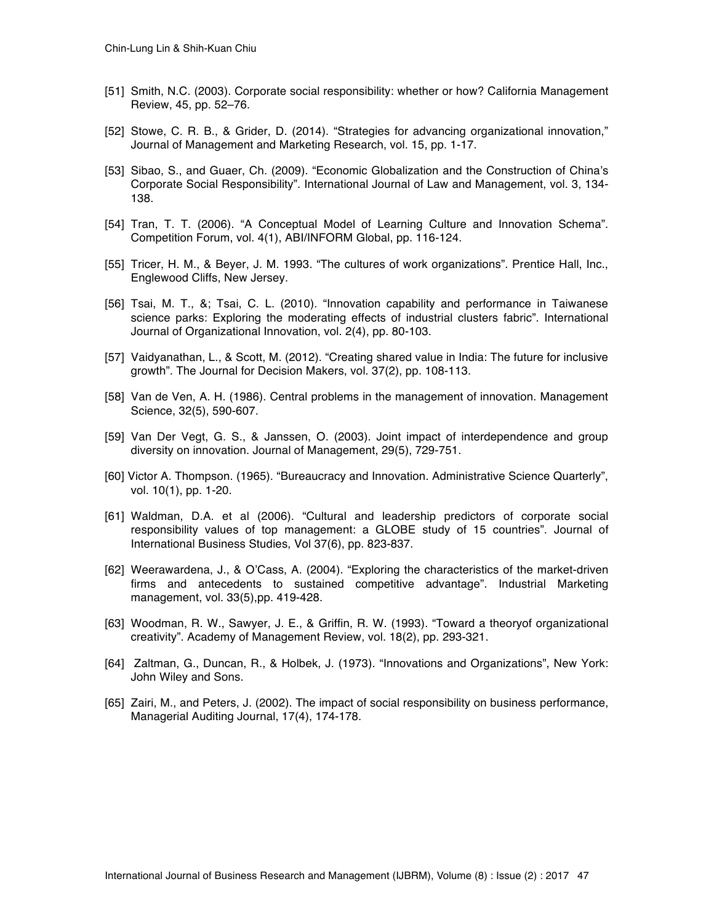- [51] Smith, N.C. (2003). Corporate social responsibility: whether or how? California Management Review, 45, pp. 52–76.
- [52] Stowe, C. R. B., & Grider, D. (2014). "Strategies for advancing organizational innovation," Journal of Management and Marketing Research, vol. 15, pp. 1-17.
- [53] Sibao, S., and Guaer, Ch. (2009). "Economic Globalization and the Construction of China's Corporate Social Responsibility". International Journal of Law and Management, vol. 3, 134- 138.
- [54] Tran, T. T. (2006). "A Conceptual Model of Learning Culture and Innovation Schema". Competition Forum, vol. 4(1), ABI/INFORM Global, pp. 116-124.
- [55] Tricer, H. M., & Beyer, J. M. 1993. "The cultures of work organizations". Prentice Hall, Inc., Englewood Cliffs, New Jersey.
- [56] Tsai, M. T., &; Tsai, C. L. (2010). "Innovation capability and performance in Taiwanese science parks: Exploring the moderating effects of industrial clusters fabric". International Journal of Organizational Innovation, vol. 2(4), pp. 80-103.
- [57] Vaidyanathan, L., & Scott, M. (2012). "Creating shared value in India: The future for inclusive growth". The Journal for Decision Makers, vol. 37(2), pp. 108-113.
- [58] Van de Ven, A. H. (1986). Central problems in the management of innovation. Management Science, 32(5), 590-607.
- [59] Van Der Vegt, G. S., & Janssen, O. (2003). Joint impact of interdependence and group diversity on innovation. Journal of Management, 29(5), 729-751.
- [60] Victor A. Thompson. (1965). "Bureaucracy and Innovation. Administrative Science Quarterly", vol. 10(1), pp. 1-20.
- [61] Waldman, D.A. et al (2006). "Cultural and leadership predictors of corporate social responsibility values of top management: a GLOBE study of 15 countries". Journal of International Business Studies, Vol 37(6), pp. 823-837.
- [62] Weerawardena, J., & O'Cass, A. (2004). "Exploring the characteristics of the market-driven firms and antecedents to sustained competitive advantage". Industrial Marketing management, vol. 33(5),pp. 419-428.
- [63] Woodman, R. W., Sawyer, J. E., & Griffin, R. W. (1993). "Toward a theoryof organizational creativity". Academy of Management Review, vol. 18(2), pp. 293-321.
- [64] Zaltman, G., Duncan, R., & Holbek, J. (1973). "Innovations and Organizations", New York: John Wiley and Sons.
- [65] Zairi, M., and Peters, J. (2002). The impact of social responsibility on business performance, Managerial Auditing Journal, 17(4), 174-178.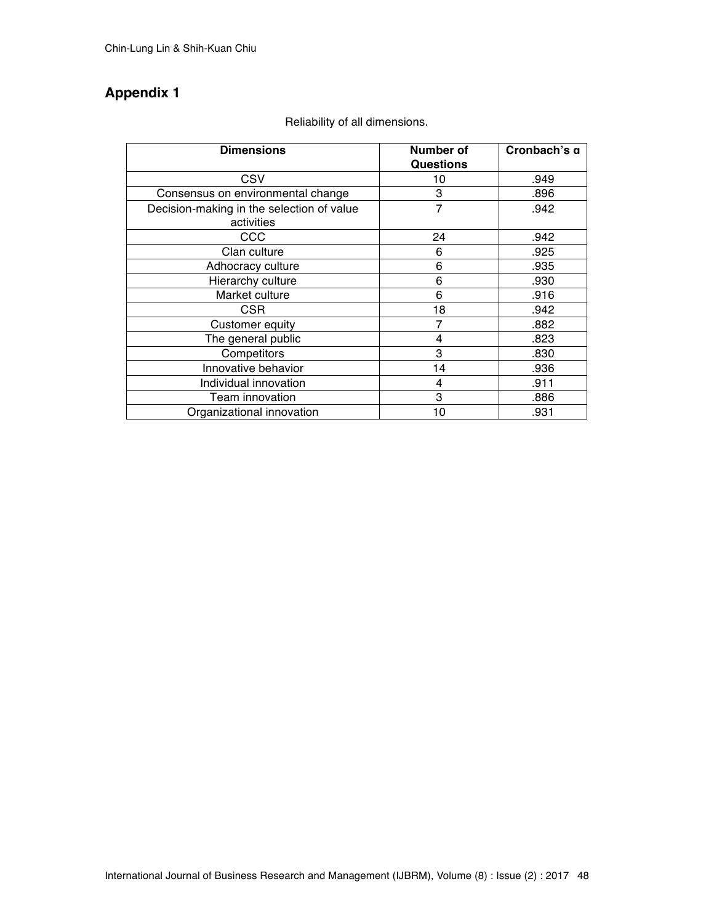# **Appendix 1**

| <b>Dimensions</b>                         | Number of<br><b>Questions</b> | Cronbach's a |
|-------------------------------------------|-------------------------------|--------------|
| CSV                                       | 10                            | .949         |
| Consensus on environmental change         | 3                             | .896         |
| Decision-making in the selection of value | $\overline{7}$                | .942         |
| activities                                |                               |              |
| $_{\rm CCC}$                              | 24                            | .942         |
| Clan culture                              | 6                             | .925         |
| Adhocracy culture                         | 6                             | .935         |
| Hierarchy culture                         | 6                             | .930         |
| Market culture                            | 6                             | .916         |
| CSR.                                      | 18                            | .942         |
| Customer equity                           | 7                             | .882         |
| The general public                        | 4                             | .823         |
| Competitors                               | 3                             | .830         |
| Innovative behavior                       | 14                            | .936         |
| Individual innovation                     | 4                             | .911         |
| Team innovation                           | 3                             | .886         |
| Organizational innovation                 | 10                            | .931         |

## Reliability of all dimensions.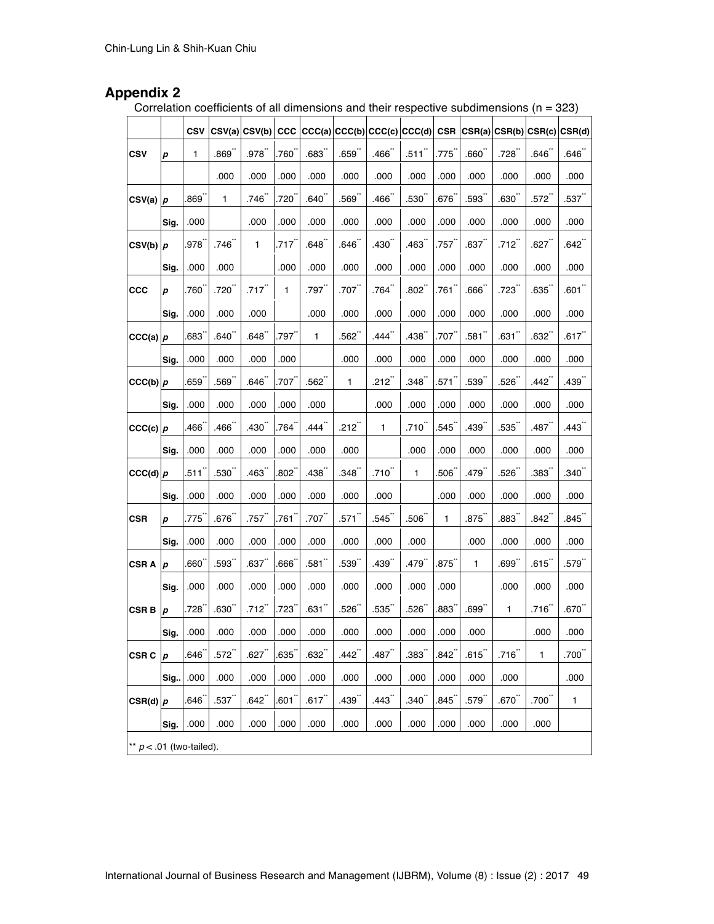# **Appendix 2**

| Correlation coefficients of all dimensions and their respective subdimensions ( $n = 323$ ) |  |
|---------------------------------------------------------------------------------------------|--|
|---------------------------------------------------------------------------------------------|--|

|                  |                            | CSV               |                     | $CSV(a)$ $CSV(b)$   |                |                      |                      |                     | $CCC(a)$ $CCC(b)$ $CCC(c)$ $CCC(d)$ $CSR$ |              |                      |                     |                     | CSR(a) CSR(b) CSR(c) CSR(d) |
|------------------|----------------------------|-------------------|---------------------|---------------------|----------------|----------------------|----------------------|---------------------|-------------------------------------------|--------------|----------------------|---------------------|---------------------|-----------------------------|
| <b>CSV</b>       | p                          | 1                 | $.869$ <sup>*</sup> | $.978^{n}$          | .760           | $.683$ <sup>*</sup>  | $.659$ <sup>**</sup> | .466                | .511                                      | .775         | .660 <sup>°</sup>    | .728                | .646                | .646                        |
|                  |                            |                   | .000                | .000                | .000           | .000                 | .000                 | .000                | .000                                      | .000         | .000                 | .000                | .000                | .000                        |
| $CSV(a)$ p       |                            | .869              | 1                   | .746                | 720            | .640                 | .569                 | .466                | .530 <sup>°</sup>                         | 676          | .593                 | .630 <sup>°</sup>   | .572                | .537໊                       |
|                  | Sig.                       | .000              |                     | .000                | .000           | .000                 | .000                 | .000                | .000                                      | .000         | .000                 | .000                | .000                | .000                        |
| $CSV(b)$ $p$     |                            | .978              | .746                | 1                   | 717            | .648                 | .646                 | .430                | $.463$ <sup>"</sup>                       | 757          | .637                 | .712                | .627                | .642                        |
|                  | Sig.                       | .000              | .000                |                     | .000           | .000                 | .000                 | .000                | .000                                      | .000         | .000                 | .000                | .000                | .000                        |
| CCC              | р                          | 760               | .720                | .717                | 1              | .797"                | .707                 | .764                | $.802^{n}$                                | .761         | .666                 | .723                | .635                | .601                        |
|                  | Sig.                       | .000              | .000                | .000                |                | .000                 | .000                 | .000                | .000                                      | .000         | .000                 | .000                | .000                | .000                        |
| CCC(a)           |                            | 683               | .640                | .648                | .797 ๊         | 1                    | .562                 | $.444$ <sup>*</sup> | .438                                      | .707         | .581                 | .631                | .632                | .617                        |
|                  | Sig.                       | .000              | .000                | .000                | .000           |                      | .000                 | .000                | .000                                      | .000         | .000                 | .000                | .000                | .000                        |
| $CCC(b)$ $p$     |                            | .659              | .569                | .646                | .707`          | .562                 | 1                    | .212                | .348                                      | .571         | .539                 | .526                | .442                | 439                         |
|                  | Sig.                       | .000              | .000                | .000                | .000           | .000                 |                      | .000                | .000                                      | .000         | .000                 | .000                | .000                | .000                        |
| $CCC(c)$ $p$     |                            | .466              | .466                | .430                | .764`          | $.444$ <sup>*</sup>  | .212                 | 1                   | .710                                      | .545         | $.439$ <sup>*</sup>  | .535                | .487                | .443                        |
|                  | Sig.                       | .000              | .000                | .000                | .000           | .000                 | .000                 |                     | .000                                      | .000         | .000                 | .000                | .000                | .000                        |
| CCC(d)           |                            | .511              | .530                | .463                | 802            | .438                 | .348                 | $.710^{11}$         | 1                                         | .506         | .479"                | .526                | .383                | .340"                       |
|                  | Sig.                       | .000              | .000                | .000                | .000           | .000                 | .000                 | .000                |                                           | .000         | .000                 | .000                | .000                | .000                        |
| CSR              | р                          | .775              | .676                | .757                | .761           | .707                 | .571                 | .545                | .506                                      | $\mathbf{1}$ | .875                 | $.883$ <sup>"</sup> | $.842$ <sup>*</sup> | .845                        |
|                  | Sig.                       | .000              | .000                | .000                | .000           | .000                 | .000                 | .000                | .000                                      |              | .000                 | .000                | .000                | .000                        |
| <b>CSRA</b>      | p                          | .660 <sup>°</sup> | .593                | .637                | 666            | .581                 | .539                 | $.439$ <sup>"</sup> | $.479$ <sup>"</sup>                       | .875         | 1                    | $.699$ <sup>*</sup> | .615                | .579                        |
|                  | Sig.                       | .000              | .000                | .000                | .000           | .000                 | .000                 | .000                | .000                                      | .000         |                      | .000                | .000                | .000                        |
| <b>CSRB</b>      | $\boldsymbol{p}$           | .728              | $.630+$             | $.712$ <sup>"</sup> | .723           | $.631$ $\!\cdot\!$   | .526                 | .535                | .526                                      | .883         | $.699$ <sup>**</sup> | 1                   | $.716$              | .670                        |
|                  | Sig.                       | .000              | .000                | .000                | .000           | .000                 | .000                 | .000                | .000                                      | .000         | .000                 |                     | .000                | .000                        |
| CSR <sub>C</sub> | <b>p</b>                   | .646              | .572                | .627                | .635           | $.632$ <sup>**</sup> | .442                 | .487                | .383                                      | .842`        | .615                 | .716                | 1                   | $.700$ "                    |
|                  | Sig.                       | .000              | .000                | .000                | .000           | .000                 | .000                 | .000                | .000                                      | .000         | .000                 | .000                |                     | .000                        |
| $CSR(d)$ p       |                            | .646 <sup>°</sup> | .537                | .642                | .601 $\degree$ | .617                 | 439"                 | .443                | $.340$ "                                  | .845         | $.579$ <sup>**</sup> | .670                | $.700$              | $\mathbf{1}$                |
|                  | Sig.                       | .000              | .000                | .000                | .000           | .000                 | .000                 | .000                | .000                                      | .000         | .000                 | .000                | .000                |                             |
|                  | ** $p < .01$ (two-tailed). |                   |                     |                     |                |                      |                      |                     |                                           |              |                      |                     |                     |                             |